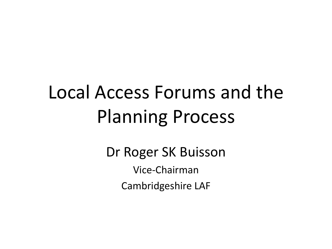## Local Access Forums and the Planning Process

Dr Roger SK Buisson Vice-Chairman Cambridgeshire LAF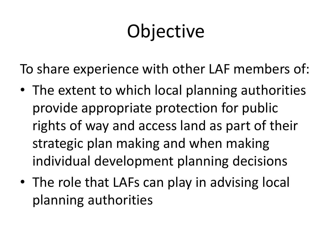# **Objective**

To share experience with other LAF members of:

- The extent to which local planning authorities provide appropriate protection for public rights of way and access land as part of their strategic plan making and when making individual development planning decisions
- The role that LAFs can play in advising local planning authorities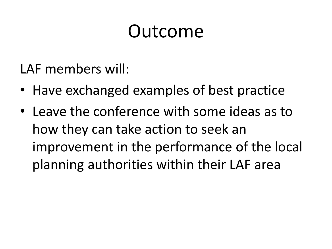#### Outcome

LAF members will:

- Have exchanged examples of best practice
- Leave the conference with some ideas as to how they can take action to seek an improvement in the performance of the local planning authorities within their LAF area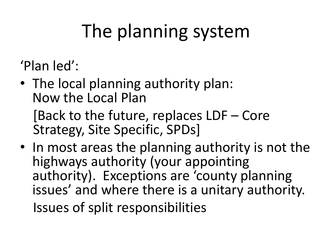# The planning system

- 'Plan led':
- The local planning authority plan: Now the Local Plan

[Back to the future, replaces LDF – Core Strategy, Site Specific, SPDs]

• In most areas the planning authority is not the highways authority (your appointing authority). Exceptions are 'county planning issues' and where there is a unitary authority. Issues of split responsibilities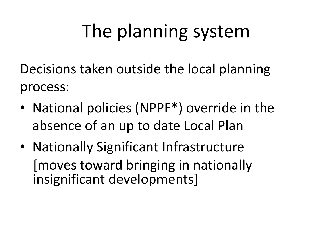## The planning system

Decisions taken outside the local planning process:

- National policies (NPPF<sup>\*</sup>) override in the absence of an up to date Local Plan
- Nationally Significant Infrastructure [moves toward bringing in nationally insignificant developments]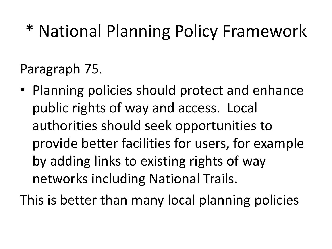#### \* National Planning Policy Framework

Paragraph 75.

• Planning policies should protect and enhance public rights of way and access. Local authorities should seek opportunities to provide better facilities for users, for example by adding links to existing rights of way networks including National Trails.

This is better than many local planning policies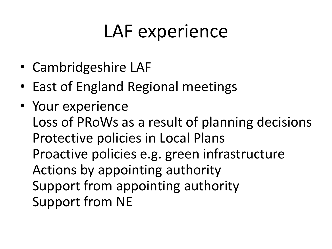#### LAF experience

- Cambridgeshire LAF
- East of England Regional meetings
- Your experience Loss of PRoWs as a result of planning decisions Protective policies in Local Plans Proactive policies e.g. green infrastructure Actions by appointing authority Support from appointing authority Support from NE